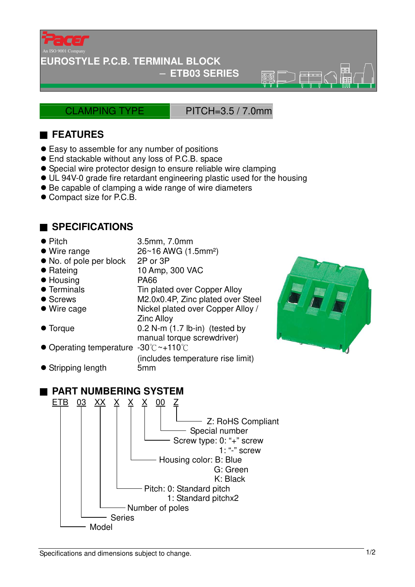

#### **EUROSTYLE P.C.B. TERMINAL BLOCK**

− **ETB03 SERIES** 

CLAMPING TYPE PITCH=3.5 / 7.0mm

 $\overline{\circledR}$ 

## ■ **FEATURES**

- Easy to assemble for any number of positions
- End stackable without any loss of P.C.B. space
- Special wire protector design to ensure reliable wire clamping
- UL 94V-0 grade fire retardant engineering plastic used for the housing
- Be capable of clamping a wide range of wire diameters
- Compact size for P.C.B.

## ■ **SPECIFICATIONS**

- Pitch 3.5mm, 7.0mm
- Wire range 26~16 AWG (1.5mm<sup>2</sup>)
- No. of pole per block 2P or 3P
- Rateing 10 Amp, 300 VAC
- Housing PA66
- 
- 
- 
- 
- 
- Terminals Tin plated over Copper Alloy
- Screws M2.0x0.4P, Zinc plated over Steel Wire cage Nickel plated over Copper Alloy /
	- Zinc Alloy
- Torque 0.2 N-m (1.7 lb-in) (tested by manual torque screwdriver)
- Operating temperature -30℃~+110℃

(includes temperature rise limit) Stripping length 5mm



#### ■ **PART NUMBERING SYSTEM**